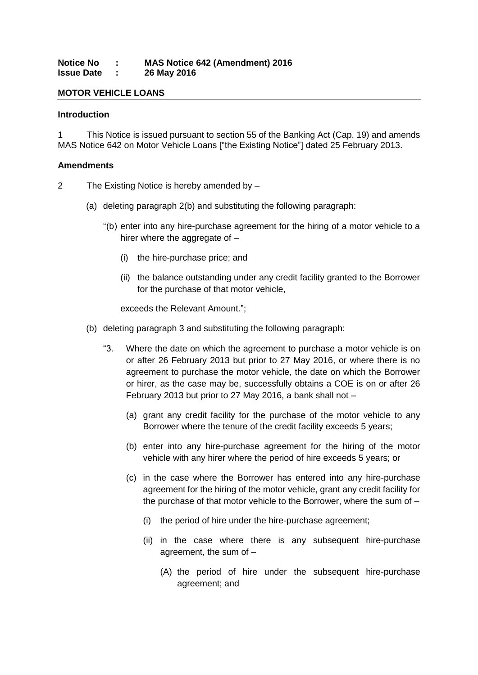### **Notice No : MAS Notice 642 (Amendment) 2016 Issue Date : 26 May 2016**

## **MOTOR VEHICLE LOANS**

#### **Introduction**

1 This Notice is issued pursuant to section 55 of the Banking Act (Cap. 19) and amends MAS Notice 642 on Motor Vehicle Loans ["the Existing Notice"] dated 25 February 2013.

#### **Amendments**

- 2 The Existing Notice is hereby amended by
	- (a) deleting paragraph 2(b) and substituting the following paragraph:
		- "(b) enter into any hire-purchase agreement for the hiring of a motor vehicle to a hirer where the aggregate of –
			- (i) the hire-purchase price; and
			- (ii) the balance outstanding under any credit facility granted to the Borrower for the purchase of that motor vehicle,

exceeds the Relevant Amount.";

- (b) deleting paragraph 3 and substituting the following paragraph:
	- "3. Where the date on which the agreement to purchase a motor vehicle is on or after 26 February 2013 but prior to 27 May 2016, or where there is no agreement to purchase the motor vehicle, the date on which the Borrower or hirer, as the case may be, successfully obtains a COE is on or after 26 February 2013 but prior to 27 May 2016, a bank shall not –
		- (a) grant any credit facility for the purchase of the motor vehicle to any Borrower where the tenure of the credit facility exceeds 5 years;
		- (b) enter into any hire-purchase agreement for the hiring of the motor vehicle with any hirer where the period of hire exceeds 5 years; or
		- (c) in the case where the Borrower has entered into any hire-purchase agreement for the hiring of the motor vehicle, grant any credit facility for the purchase of that motor vehicle to the Borrower, where the sum of –
			- (i) the period of hire under the hire-purchase agreement;
			- (ii) in the case where there is any subsequent hire-purchase agreement, the sum of –
				- (A) the period of hire under the subsequent hire-purchase agreement; and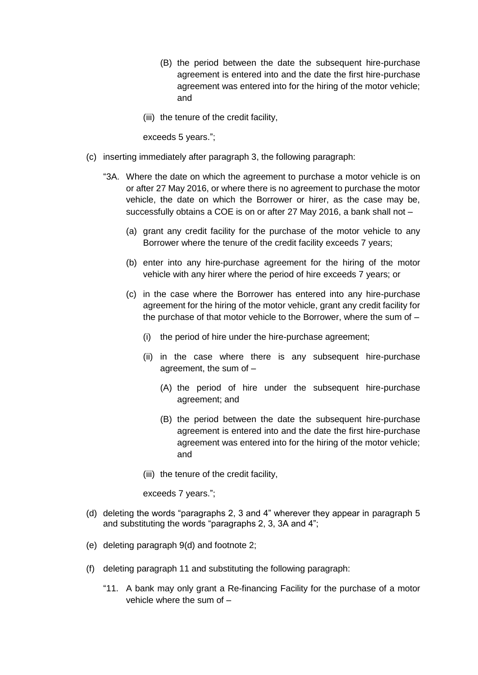- (B) the period between the date the subsequent hire-purchase agreement is entered into and the date the first hire-purchase agreement was entered into for the hiring of the motor vehicle; and
- (iii) the tenure of the credit facility,

exceeds 5 years.";

- (c) inserting immediately after paragraph 3, the following paragraph:
	- "3A. Where the date on which the agreement to purchase a motor vehicle is on or after 27 May 2016, or where there is no agreement to purchase the motor vehicle, the date on which the Borrower or hirer, as the case may be, successfully obtains a COE is on or after 27 May 2016, a bank shall not –
		- (a) grant any credit facility for the purchase of the motor vehicle to any Borrower where the tenure of the credit facility exceeds 7 years;
		- (b) enter into any hire-purchase agreement for the hiring of the motor vehicle with any hirer where the period of hire exceeds 7 years; or
		- (c) in the case where the Borrower has entered into any hire-purchase agreement for the hiring of the motor vehicle, grant any credit facility for the purchase of that motor vehicle to the Borrower, where the sum of –
			- (i) the period of hire under the hire-purchase agreement;
			- (ii) in the case where there is any subsequent hire-purchase agreement, the sum of –
				- (A) the period of hire under the subsequent hire-purchase agreement; and
				- (B) the period between the date the subsequent hire-purchase agreement is entered into and the date the first hire-purchase agreement was entered into for the hiring of the motor vehicle; and
			- (iii) the tenure of the credit facility,

exceeds 7 years.";

- (d) deleting the words "paragraphs 2, 3 and 4" wherever they appear in paragraph 5 and substituting the words "paragraphs 2, 3, 3A and 4";
- (e) deleting paragraph 9(d) and footnote 2;
- (f) deleting paragraph 11 and substituting the following paragraph:
	- "11. A bank may only grant a Re-financing Facility for the purchase of a motor vehicle where the sum of –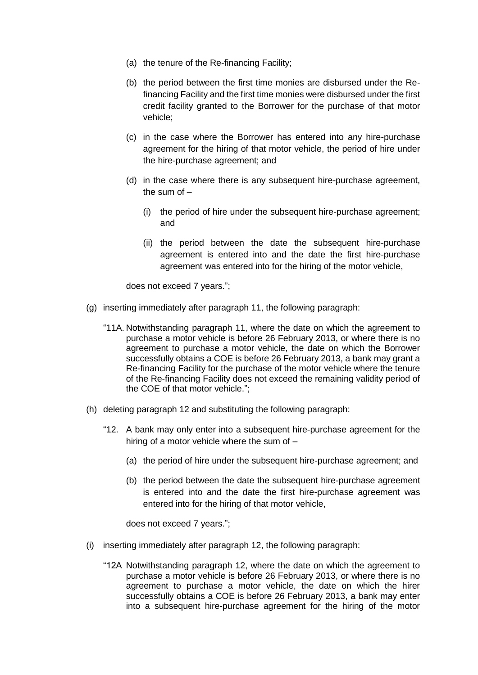- (a) the tenure of the Re-financing Facility;
- (b) the period between the first time monies are disbursed under the Refinancing Facility and the first time monies were disbursed under the first credit facility granted to the Borrower for the purchase of that motor vehicle;
- (c) in the case where the Borrower has entered into any hire-purchase agreement for the hiring of that motor vehicle, the period of hire under the hire-purchase agreement; and
- (d) in the case where there is any subsequent hire-purchase agreement, the sum of –
	- (i) the period of hire under the subsequent hire-purchase agreement; and
	- (ii) the period between the date the subsequent hire-purchase agreement is entered into and the date the first hire-purchase agreement was entered into for the hiring of the motor vehicle,

does not exceed 7 years.";

- (g) inserting immediately after paragraph 11, the following paragraph:
	- "11A. Notwithstanding paragraph 11, where the date on which the agreement to purchase a motor vehicle is before 26 February 2013, or where there is no agreement to purchase a motor vehicle, the date on which the Borrower successfully obtains a COE is before 26 February 2013, a bank may grant a Re-financing Facility for the purchase of the motor vehicle where the tenure of the Re-financing Facility does not exceed the remaining validity period of the COE of that motor vehicle.";
- (h) deleting paragraph 12 and substituting the following paragraph:
	- "12. A bank may only enter into a subsequent hire-purchase agreement for the hiring of a motor vehicle where the sum of –
		- (a) the period of hire under the subsequent hire-purchase agreement; and
		- (b) the period between the date the subsequent hire-purchase agreement is entered into and the date the first hire-purchase agreement was entered into for the hiring of that motor vehicle,

does not exceed 7 years.";

- (i) inserting immediately after paragraph 12, the following paragraph:
	- "12A Notwithstanding paragraph 12, where the date on which the agreement to purchase a motor vehicle is before 26 February 2013, or where there is no agreement to purchase a motor vehicle, the date on which the hirer successfully obtains a COE is before 26 February 2013, a bank may enter into a subsequent hire-purchase agreement for the hiring of the motor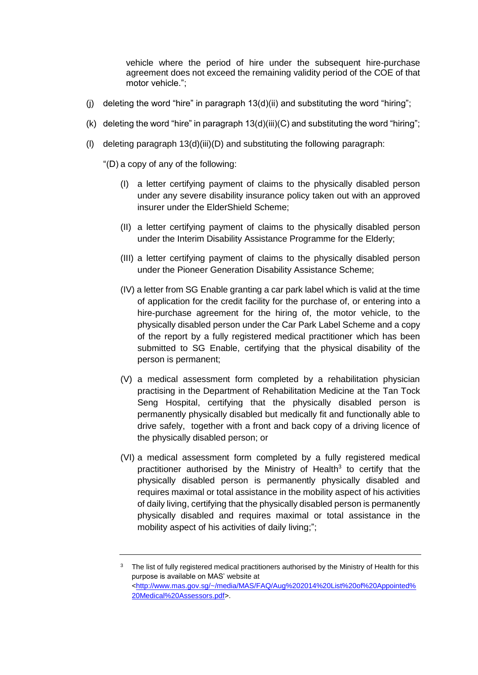vehicle where the period of hire under the subsequent hire-purchase agreement does not exceed the remaining validity period of the COE of that motor vehicle.";

- (i) deleting the word "hire" in paragraph  $13(d)(ii)$  and substituting the word "hiring";
- (k) deleting the word "hire" in paragraph  $13(d)(iii)(C)$  and substituting the word "hiring";
- (l) deleting paragraph 13(d)(iii)(D) and substituting the following paragraph:

"(D) a copy of any of the following:

- (I) a letter certifying payment of claims to the physically disabled person under any severe disability insurance policy taken out with an approved insurer under the ElderShield Scheme;
- (II) a letter certifying payment of claims to the physically disabled person under the Interim Disability Assistance Programme for the Elderly;
- (III) a letter certifying payment of claims to the physically disabled person under the Pioneer Generation Disability Assistance Scheme;
- (IV) a letter from SG Enable granting a car park label which is valid at the time of application for the credit facility for the purchase of, or entering into a hire-purchase agreement for the hiring of, the motor vehicle, to the physically disabled person under the Car Park Label Scheme and a copy of the report by a fully registered medical practitioner which has been submitted to SG Enable, certifying that the physical disability of the person is permanent;
- (V) a medical assessment form completed by a rehabilitation physician practising in the Department of Rehabilitation Medicine at the Tan Tock Seng Hospital, certifying that the physically disabled person is permanently physically disabled but medically fit and functionally able to drive safely, together with a front and back copy of a driving licence of the physically disabled person; or
- (VI) a medical assessment form completed by a fully registered medical practitioner authorised by the Ministry of Health<sup>3</sup> to certify that the physically disabled person is permanently physically disabled and requires maximal or total assistance in the mobility aspect of his activities of daily living, certifying that the physically disabled person is permanently physically disabled and requires maximal or total assistance in the mobility aspect of his activities of daily living;";

<sup>&</sup>lt;sup>3</sup> The list of fully registered medical practitioners authorised by the Ministry of Health for this purpose is available on MAS' website at [<http://www.mas.gov.sg/~/media/MAS/FAQ/Aug%202014%20List%20of%20Appointed%](http://www.mas.gov.sg/~/media/MAS/FAQ/Aug%202014%20List%20of%20Appointed%20Medical%20Assessors.pdf) [20Medical%20Assessors.pdf>](http://www.mas.gov.sg/~/media/MAS/FAQ/Aug%202014%20List%20of%20Appointed%20Medical%20Assessors.pdf).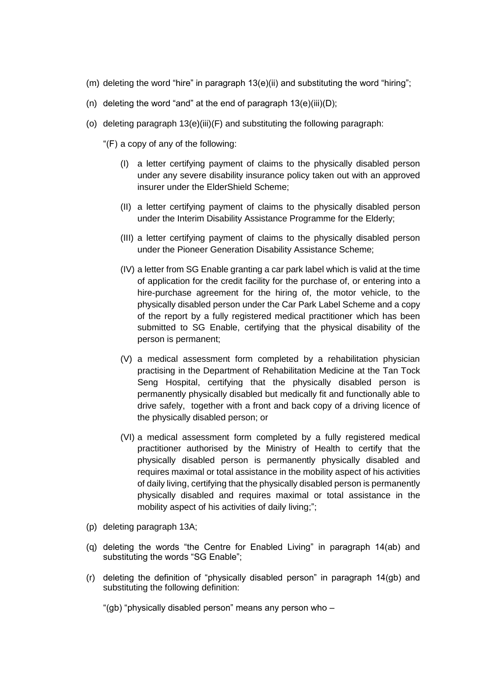- (m) deleting the word "hire" in paragraph 13(e)(ii) and substituting the word "hiring";
- (n) deleting the word "and" at the end of paragraph  $13(e)(iii)(D)$ ;
- (o) deleting paragraph 13(e)(iii)(F) and substituting the following paragraph:
	- "(F) a copy of any of the following:
		- (I) a letter certifying payment of claims to the physically disabled person under any severe disability insurance policy taken out with an approved insurer under the ElderShield Scheme;
		- (II) a letter certifying payment of claims to the physically disabled person under the Interim Disability Assistance Programme for the Elderly;
		- (III) a letter certifying payment of claims to the physically disabled person under the Pioneer Generation Disability Assistance Scheme;
		- (IV) a letter from SG Enable granting a car park label which is valid at the time of application for the credit facility for the purchase of, or entering into a hire-purchase agreement for the hiring of, the motor vehicle, to the physically disabled person under the Car Park Label Scheme and a copy of the report by a fully registered medical practitioner which has been submitted to SG Enable, certifying that the physical disability of the person is permanent;
		- (V) a medical assessment form completed by a rehabilitation physician practising in the Department of Rehabilitation Medicine at the Tan Tock Seng Hospital, certifying that the physically disabled person is permanently physically disabled but medically fit and functionally able to drive safely, together with a front and back copy of a driving licence of the physically disabled person; or
		- (VI) a medical assessment form completed by a fully registered medical practitioner authorised by the Ministry of Health to certify that the physically disabled person is permanently physically disabled and requires maximal or total assistance in the mobility aspect of his activities of daily living, certifying that the physically disabled person is permanently physically disabled and requires maximal or total assistance in the mobility aspect of his activities of daily living;";
- (p) deleting paragraph 13A;
- (q) deleting the words "the Centre for Enabled Living" in paragraph 14(ab) and substituting the words "SG Enable";
- (r) deleting the definition of "physically disabled person" in paragraph 14(gb) and substituting the following definition:

"(gb) "physically disabled person" means any person who –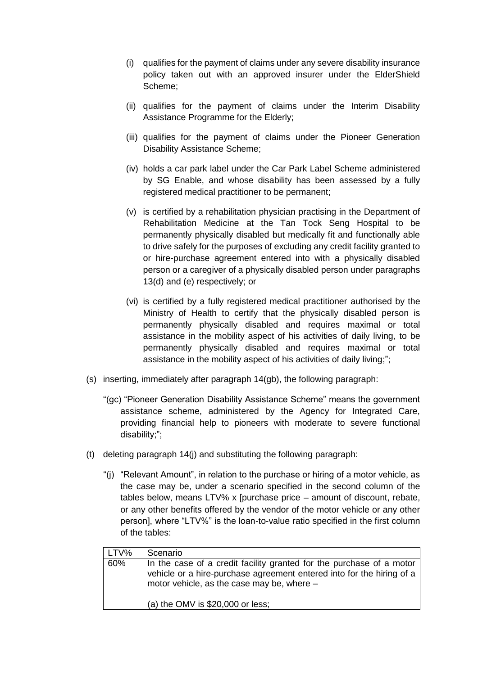- (i) qualifies for the payment of claims under any severe disability insurance policy taken out with an approved insurer under the ElderShield Scheme;
- (ii) qualifies for the payment of claims under the Interim Disability Assistance Programme for the Elderly;
- (iii) qualifies for the payment of claims under the Pioneer Generation Disability Assistance Scheme;
- (iv) holds a car park label under the Car Park Label Scheme administered by SG Enable, and whose disability has been assessed by a fully registered medical practitioner to be permanent;
- (v) is certified by a rehabilitation physician practising in the Department of Rehabilitation Medicine at the Tan Tock Seng Hospital to be permanently physically disabled but medically fit and functionally able to drive safely for the purposes of excluding any credit facility granted to or hire-purchase agreement entered into with a physically disabled person or a caregiver of a physically disabled person under paragraphs 13(d) and (e) respectively; or
- (vi) is certified by a fully registered medical practitioner authorised by the Ministry of Health to certify that the physically disabled person is permanently physically disabled and requires maximal or total assistance in the mobility aspect of his activities of daily living, to be permanently physically disabled and requires maximal or total assistance in the mobility aspect of his activities of daily living;";
- (s) inserting, immediately after paragraph 14(gb), the following paragraph:
	- "(gc) "Pioneer Generation Disability Assistance Scheme" means the government assistance scheme, administered by the Agency for Integrated Care, providing financial help to pioneers with moderate to severe functional disability;";
- (t) deleting paragraph 14(j) and substituting the following paragraph:
	- "(j) "Relevant Amount", in relation to the purchase or hiring of a motor vehicle, as the case may be, under a scenario specified in the second column of the tables below, means LTV% x [purchase price – amount of discount, rebate, or any other benefits offered by the vendor of the motor vehicle or any other person], where "LTV%" is the loan-to-value ratio specified in the first column of the tables:

| LTV% | Scenario                                                                                                                                                                                    |
|------|---------------------------------------------------------------------------------------------------------------------------------------------------------------------------------------------|
| 60%  | In the case of a credit facility granted for the purchase of a motor<br>vehicle or a hire-purchase agreement entered into for the hiring of a<br>motor vehicle, as the case may be, where - |
|      | (a) the OMV is $$20,000$ or less;                                                                                                                                                           |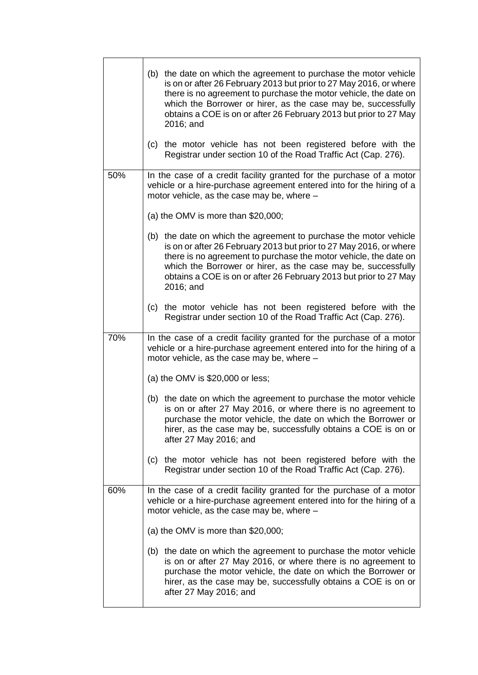|     | (b) the date on which the agreement to purchase the motor vehicle<br>is on or after 26 February 2013 but prior to 27 May 2016, or where<br>there is no agreement to purchase the motor vehicle, the date on<br>which the Borrower or hirer, as the case may be, successfully<br>obtains a COE is on or after 26 February 2013 but prior to 27 May<br>2016; and |
|-----|----------------------------------------------------------------------------------------------------------------------------------------------------------------------------------------------------------------------------------------------------------------------------------------------------------------------------------------------------------------|
|     | the motor vehicle has not been registered before with the<br>(c)<br>Registrar under section 10 of the Road Traffic Act (Cap. 276).                                                                                                                                                                                                                             |
| 50% | In the case of a credit facility granted for the purchase of a motor<br>vehicle or a hire-purchase agreement entered into for the hiring of a<br>motor vehicle, as the case may be, where -                                                                                                                                                                    |
|     | (a) the OMV is more than $$20,000;$                                                                                                                                                                                                                                                                                                                            |
|     | (b) the date on which the agreement to purchase the motor vehicle<br>is on or after 26 February 2013 but prior to 27 May 2016, or where<br>there is no agreement to purchase the motor vehicle, the date on<br>which the Borrower or hirer, as the case may be, successfully<br>obtains a COE is on or after 26 February 2013 but prior to 27 May<br>2016; and |
|     | the motor vehicle has not been registered before with the<br>(c)<br>Registrar under section 10 of the Road Traffic Act (Cap. 276).                                                                                                                                                                                                                             |
| 70% | In the case of a credit facility granted for the purchase of a motor<br>vehicle or a hire-purchase agreement entered into for the hiring of a<br>motor vehicle, as the case may be, where -                                                                                                                                                                    |
|     | (a) the OMV is $$20,000$ or less;                                                                                                                                                                                                                                                                                                                              |
|     | (b) the date on which the agreement to purchase the motor vehicle<br>is on or after 27 May 2016, or where there is no agreement to<br>purchase the motor vehicle, the date on which the Borrower or<br>hirer, as the case may be, successfully obtains a COE is on or<br>after 27 May 2016; and                                                                |
|     | (c) the motor vehicle has not been registered before with the<br>Registrar under section 10 of the Road Traffic Act (Cap. 276).                                                                                                                                                                                                                                |
| 60% | In the case of a credit facility granted for the purchase of a motor<br>vehicle or a hire-purchase agreement entered into for the hiring of a<br>motor vehicle, as the case may be, where -                                                                                                                                                                    |
|     | (a) the OMV is more than $$20,000;$                                                                                                                                                                                                                                                                                                                            |
|     | (b) the date on which the agreement to purchase the motor vehicle<br>is on or after 27 May 2016, or where there is no agreement to<br>purchase the motor vehicle, the date on which the Borrower or<br>hirer, as the case may be, successfully obtains a COE is on or<br>after 27 May 2016; and                                                                |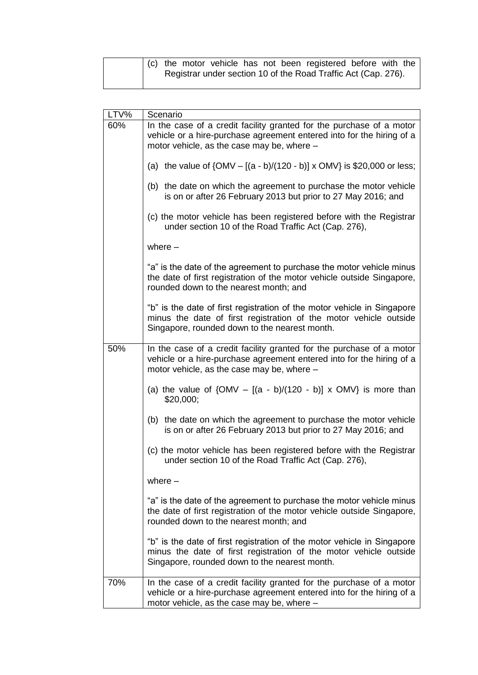| (c) the motor vehicle has not been registered before with the  |  |
|----------------------------------------------------------------|--|
| Registrar under section 10 of the Road Traffic Act (Cap. 276). |  |
|                                                                |  |

| LTV% | Scenario                                                                                                                                                                                      |
|------|-----------------------------------------------------------------------------------------------------------------------------------------------------------------------------------------------|
| 60%  | In the case of a credit facility granted for the purchase of a motor<br>vehicle or a hire-purchase agreement entered into for the hiring of a<br>motor vehicle, as the case may be, where -   |
|      | (a) the value of $\{OMV - [(a - b)/(120 - b)] \times OMV\}$ is \$20,000 or less;                                                                                                              |
|      | (b) the date on which the agreement to purchase the motor vehicle<br>is on or after 26 February 2013 but prior to 27 May 2016; and                                                            |
|      | (c) the motor vehicle has been registered before with the Registrar<br>under section 10 of the Road Traffic Act (Cap. 276),                                                                   |
|      | where $-$                                                                                                                                                                                     |
|      | "a" is the date of the agreement to purchase the motor vehicle minus<br>the date of first registration of the motor vehicle outside Singapore,<br>rounded down to the nearest month; and      |
|      | "b" is the date of first registration of the motor vehicle in Singapore<br>minus the date of first registration of the motor vehicle outside<br>Singapore, rounded down to the nearest month. |
| 50%  | In the case of a credit facility granted for the purchase of a motor<br>vehicle or a hire-purchase agreement entered into for the hiring of a<br>motor vehicle, as the case may be, where -   |
|      | (a) the value of $\{OMV - [(a - b)/(120 - b)] \times OMV\}$ is more than<br>\$20,000;                                                                                                         |
|      | (b) the date on which the agreement to purchase the motor vehicle<br>is on or after 26 February 2013 but prior to 27 May 2016; and                                                            |
|      | (c) the motor vehicle has been registered before with the Registrar<br>under section 10 of the Road Traffic Act (Cap. 276),                                                                   |
|      | where $-$                                                                                                                                                                                     |
|      | "a" is the date of the agreement to purchase the motor vehicle minus<br>the date of first registration of the motor vehicle outside Singapore,<br>rounded down to the nearest month; and      |
|      | "b" is the date of first registration of the motor vehicle in Singapore<br>minus the date of first registration of the motor vehicle outside<br>Singapore, rounded down to the nearest month. |
| 70%  | In the case of a credit facility granted for the purchase of a motor<br>vehicle or a hire-purchase agreement entered into for the hiring of a<br>motor vehicle, as the case may be, where -   |